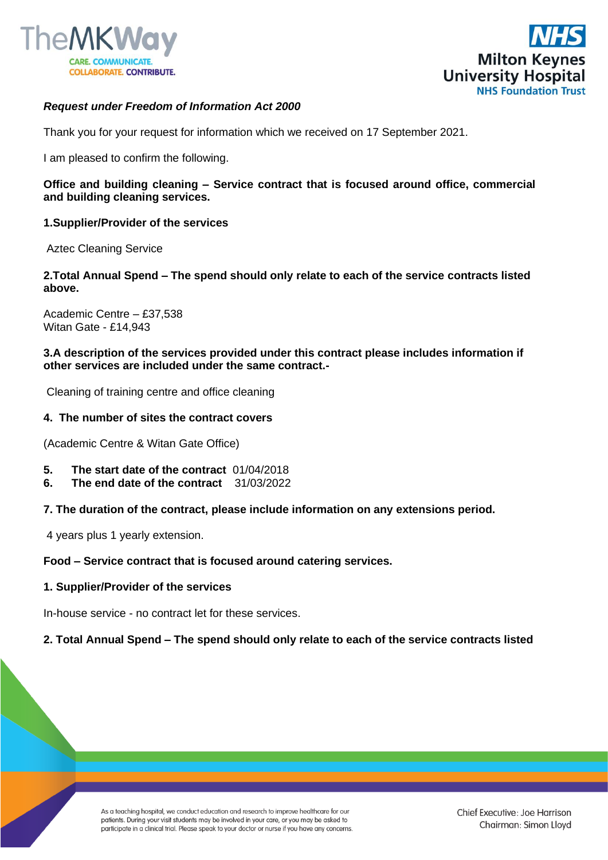



## *Request under Freedom of Information Act 2000*

Thank you for your request for information which we received on 17 September 2021.

I am pleased to confirm the following.

**Office and building cleaning – Service contract that is focused around office, commercial and building cleaning services.**

**1.Supplier/Provider of the services** 

Aztec Cleaning Service

**2.Total Annual Spend – The spend should only relate to each of the service contracts listed above.**

Academic Centre – £37,538 Witan Gate - £14,943

**3.A description of the services provided under this contract please includes information if other services are included under the same contract.-**

Cleaning of training centre and office cleaning

#### **4. The number of sites the contract covers**

(Academic Centre & Witan Gate Office)

- **5. The start date of the contract** 01/04/2018
- **6. The end date of the contract** 31/03/2022

#### **7. The duration of the contract, please include information on any extensions period.**

4 years plus 1 yearly extension.

#### **Food – Service contract that is focused around catering services.**

#### **1. Supplier/Provider of the services**

In-house service - no contract let for these services.

## **2. Total Annual Spend – The spend should only relate to each of the service contracts listed**

As a teaching hospital, we conduct education and research to improve healthcare for our patients. During your visit students may be involved in your care, or you may be asked to participate in a clinical trial. Please speak to your doctor or nurse if you have any concerns.